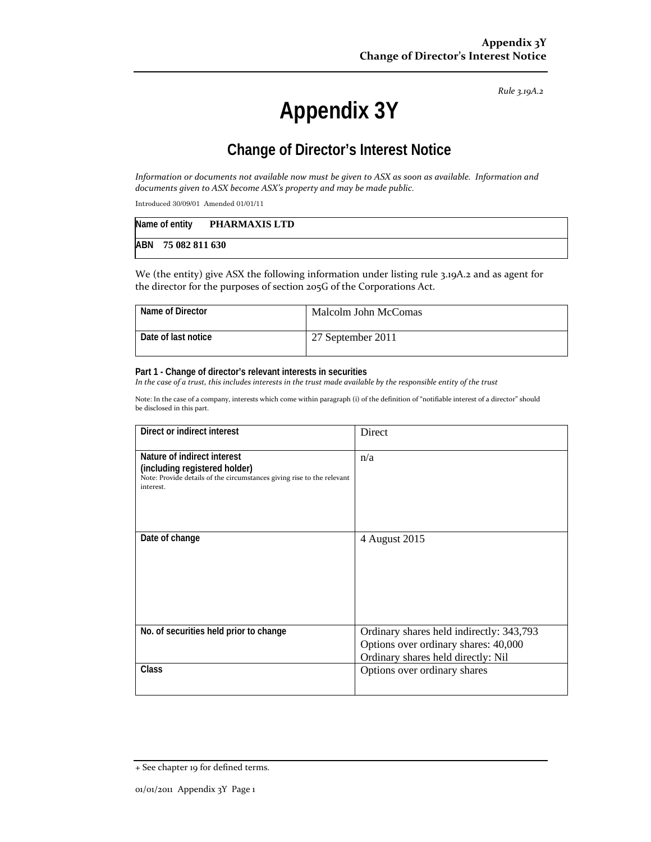*Rule 3.19A.2*

# **Appendix 3Y**

# **Change of Director's Interest Notice**

Information or documents not available now must be given to ASX as soon as available. Information and *documents given to ASX become ASX's property and may be made public.*

Introduced 30/09/01 Amended 01/01/11

| Name of entity     | PHARMAXIS LTD |
|--------------------|---------------|
| ABN 75 082 811 630 |               |

We (the entity) give ASX the following information under listing rule 3.19A.2 and as agent for the director for the purposes of section 205G of the Corporations Act.

| Name of Director    | Malcolm John McComas |
|---------------------|----------------------|
| Date of last notice | 27 September 2011    |

#### **Part 1 - Change of director's relevant interests in securities**

In the case of a trust, this includes interests in the trust made available by the responsible entity of the trust

Note: In the case of a company, interests which come within paragraph (i) of the definition of "notifiable interest of a director" should be disclosed in this part.

| Direct or indirect interest                                                                                                                         | Direct                                                                                                                 |  |
|-----------------------------------------------------------------------------------------------------------------------------------------------------|------------------------------------------------------------------------------------------------------------------------|--|
| Nature of indirect interest<br>(including registered holder)<br>Note: Provide details of the circumstances giving rise to the relevant<br>interest. | n/a                                                                                                                    |  |
| Date of change                                                                                                                                      | 4 August 2015                                                                                                          |  |
| No. of securities held prior to change                                                                                                              | Ordinary shares held indirectly: 343,793<br>Options over ordinary shares: 40,000<br>Ordinary shares held directly: Nil |  |
| Class                                                                                                                                               | Options over ordinary shares                                                                                           |  |

<sup>+</sup> See chapter 19 for defined terms.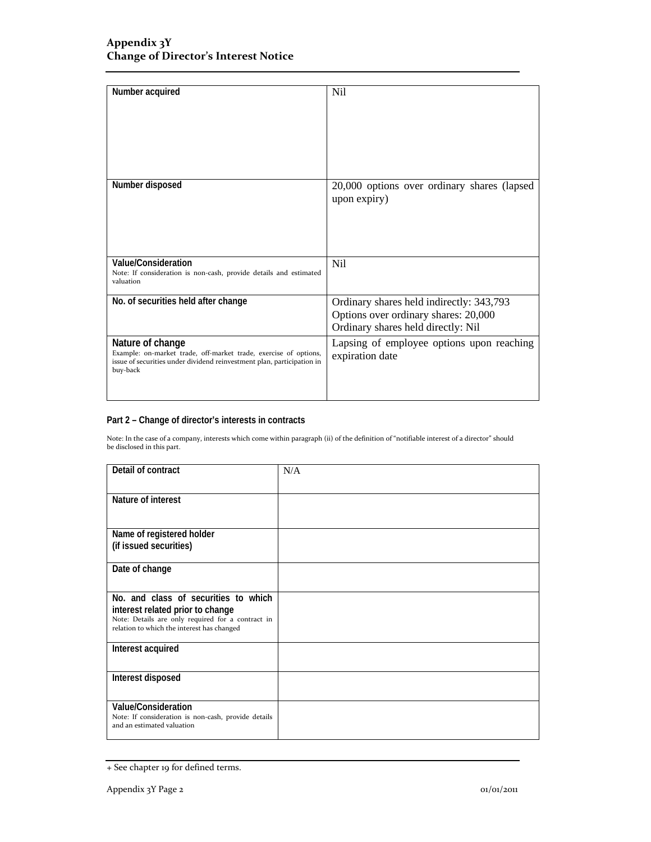| Number acquired                                                                                                                                                            | <b>Nil</b>                                                                                                             |
|----------------------------------------------------------------------------------------------------------------------------------------------------------------------------|------------------------------------------------------------------------------------------------------------------------|
| Number disposed                                                                                                                                                            | 20,000 options over ordinary shares (lapsed<br>upon expiry)                                                            |
| Value/Consideration<br>Note: If consideration is non-cash, provide details and estimated<br>valuation                                                                      | N <sub>i</sub>                                                                                                         |
| No. of securities held after change                                                                                                                                        | Ordinary shares held indirectly: 343,793<br>Options over ordinary shares: 20,000<br>Ordinary shares held directly: Nil |
| Nature of change<br>Example: on-market trade, off-market trade, exercise of options,<br>issue of securities under dividend reinvestment plan, participation in<br>buy-back | Lapsing of employee options upon reaching<br>expiration date                                                           |

### **Part 2 – Change of director's interests in contracts**

Note: In the case of a company, interests which come within paragraph (ii) of the definition of "notifiable interest of a director" should be disclosed in this part.

| Detail of contract                                                                                                                                                          | N/A |
|-----------------------------------------------------------------------------------------------------------------------------------------------------------------------------|-----|
| Nature of interest                                                                                                                                                          |     |
| Name of registered holder<br>(if issued securities)                                                                                                                         |     |
| Date of change                                                                                                                                                              |     |
| No. and class of securities to which<br>interest related prior to change<br>Note: Details are only required for a contract in<br>relation to which the interest has changed |     |
| Interest acquired                                                                                                                                                           |     |
| Interest disposed                                                                                                                                                           |     |
| Value/Consideration<br>Note: If consideration is non-cash, provide details<br>and an estimated valuation                                                                    |     |

<sup>+</sup> See chapter 19 for defined terms.